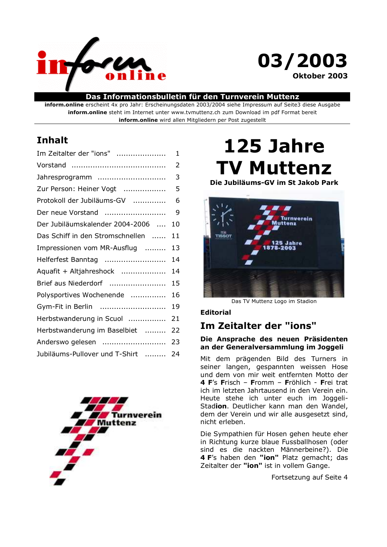

# 03/2003 Oktober 2003

# Das Informationsbulletin für den Turnverein Muttenz

inform.online erscheint 4x pro Jahr: Erscheinungsdaten 2003/2004 siehe Impressum auf Seite3 diese Ausgabe inform.online steht im Internet unter www.tvmuttenz.ch zum Download im pdf Format bereit inform.online wird allen Mitgliedern per Post zugestellt

# **Inhalt**

| Im Zeitalter der "ions"          | $\mathbf 1$ |
|----------------------------------|-------------|
|                                  | 2           |
| Jahresprogramm                   | 3           |
| Zur Person: Heiner Vogt          | 5           |
| Protokoll der Jubiläums-GV       | 6           |
| Der neue Vorstand                | 9           |
| Der Jubiläumskalender 2004-2006  | 10          |
| Das Schiff in den Stromschnellen | 11          |
| Impressionen vom MR-Ausflug      | 13          |
| Helferfest Banntag               | 14          |
| Aquafit + Altjahreshock          | 14          |
| Brief aus Niederdorf             | 15          |
| Polysportives Wochenende         | 16          |
| Gym-Fit in Berlin                | 19          |
| Herbstwanderung in Scuol         | 21          |
| Herbstwanderung im Baselbiet     | 22          |
| Anderswo gelesen                 | 23          |
| Jubiläums-Pullover und T-Shirt   | 24          |
|                                  |             |



# 125 Jahre **TV Muttenz**

Die Jubiläums-GV im St Jakob Park



Das TV Muttenz Logo im Stadion

# **Editorial**

# Im Zeitalter der "ions"

# Die Ansprache des neuen Präsidenten an der Generalversammlung im Joggeli

Mit dem prägenden Bild des Turners in seiner langen, gespannten weissen Hose und dem von mir weit entfernten Motto der 4 F's Frisch - Fromm - Fröhlich - Frei trat ich im letzten Jahrtausend in den Verein ein. Heute stehe ich unter euch im Joggeli-Stadion. Deutlicher kann man den Wandel, dem der Verein und wir alle ausgesetzt sind, nicht erleben.

Die Sympathien für Hosen gehen heute eher in Richtung kurze blaue Fussballhosen (oder sind es die nackten Männerbeine?). Die 4 F's haben den "ion" Platz gemacht; das Zeitalter der "ion" ist in vollem Gange.

Fortsetzung auf Seite 4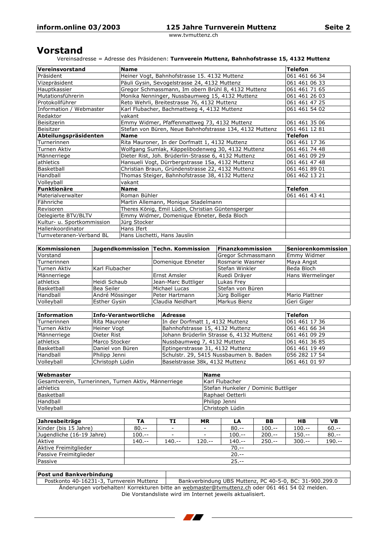# **Vorstand**

Vereinsadresse = Adresse des Präsidenen: Turnverein Muttenz, Bahnhofstrasse 15, 4132 Muttenz

| Vereinsvorstand            | <b>Name</b>                                             | <b>Telefon</b> |
|----------------------------|---------------------------------------------------------|----------------|
| Präsident                  | Heiner Vogt, Bahnhofstrasse 15. 4132 Muttenz            | 061 461 66 34  |
| Vizepräsident              | Päuli Gysin, Sevogelstrasse 24, 4132 Muttenz            | 061 461 06 33  |
| Hauptkassier               | Gregor Schmassmann, Im obern Brühl 8, 4132 Muttenz      | 061 461 71 65  |
| Mutationsführerin          | Monika Nenninger, Nussbaumweg 15, 4132 Muttenz          | 061 461 26 03  |
| Protokollführer            | Reto Wehrli, Breitestrasse 76, 4132 Muttenz             | 061 461 47 25  |
| Information / Webmaster    | Karl Flubacher, Bachmattweg 4, 4132 Muttenz             | 061 461 54 02  |
| Redaktor                   | vakant                                                  |                |
| Beisitzerin                | Emmy Widmer, Pfaffenmattweg 73, 4132 Muttenz            | 061 461 35 06  |
| Beisitzer                  | Stefan von Büren, Neue Bahnhofstrasse 134, 4132 Muttenz | 061 461 12 81  |
| Abteilungspräsidenten      | <b>Name</b>                                             | Telefon        |
| Turnerinnen                | Rita Mauroner, In der Dorfmatt 1, 4132 Muttenz          | 061 461 17 36  |
| Turnen Aktiv               | Wolfgang Sumlak, Käppelibodenweg 30, 4132 Muttenz       | 061 461 74 48  |
| Männerriege                | Dieter Rist, Joh. Brüderlin-Strasse 6, 4132 Muttenz     | 061 461 09 29  |
| athletics                  | Hansueli Vogt, Dürrbergstrasse 15a, 4132 Muttenz        | 061 461 47 48  |
| Basketball                 | Christian Braun, Gründenstrasse 22, 4132 Muttenz        | 061 461 89 01  |
| Handball                   | Thomas Steiger, Bahnhofstrasse 38, 4132 Muttenz         | 061 462 13 21  |
| Volleyball                 | vakant                                                  |                |
| <b>Funktionäre</b>         | <b>Name</b>                                             | Telefon        |
| Materialverwalter          | Roman Bühler                                            | 061 461 43 41  |
| Fähnriche                  | Martin Allemann, Monique Stadelmann                     |                |
| Revisoren                  | Theres König, Emil Lüdin, Christian Güntensperger       |                |
| Delegierte BTV/BLTV        | Emmy Widmer, Domenique Ebneter, Beda Bloch              |                |
| Kultur- u. Sportkommission | Jürg Stocker                                            |                |
| Hallenkoordinator          | Hans Ifert                                              |                |
| Turnveteranen-Verband BL   | Hans Lischetti, Hans Jauslin                            |                |

| Kommissionen |                     | Jugendkommission Techn. Kommission | <b>Finanzkommission</b> | Seniorenkommission |
|--------------|---------------------|------------------------------------|-------------------------|--------------------|
| Vorstand     |                     |                                    | Gregor Schmassmann      | Emmy Widmer        |
| Turnerinnen  |                     | Domenique Ebneter                  | Rosmarie Wasmer         | Maya Angst         |
| Turnen Aktiv | Karl Flubacher      |                                    | <b>Stefan Winkler</b>   | Beda Bloch         |
| Männerriege  |                     | <b>Ernst Amsler</b>                | Ruedi Dräyer            | Hans Wermelinger   |
| athletics    | Heidi Schaub        | Jean-Marc Buttliger                | Lukas Frey              |                    |
| Basketball   | Bea Seiler          | Michael Lucas                      | <b>Stefan von Büren</b> |                    |
| Handball     | André Mössinger     | lPeter Hartmann                    | Jürg Bolliger           | Mario Plattner     |
| Volleyball   | <b>Esther Gysin</b> | lClaudia Neidhart                  | Markus Bienz            | Geri Giger         |

| <b>Information</b> | Info-Verantwortliche | <b>Adresse</b>                           | <b>Telefon</b> |
|--------------------|----------------------|------------------------------------------|----------------|
| Turnerinnen        | Rita Mauroner        | In der Dorfmatt 1, 4132 Muttenz          | 061 461 17 36  |
| Turnen Aktiv       | Heiner Vogt          | Bahnhofstrasse 15, 4132 Muttenz          | 061 461 66 34  |
| Männerriege        | Dieter Rist          | Johann Brüderlin Strasse 6, 4132 Muttenz | 061 461 09 29  |
| <b>athletics</b>   | Marco Stocker        | Nussbaumweg 7, 4132 Muttenz              | 061 461 36 85  |
| Basketball         | Daniel von Büren     | Eptingerstrasse 31, 4132 Muttenz         | 061 461 19 49  |
| Handball           | Philipp Jenni        | Schulstr. 29, 5415 Nussbaumen b. Baden   | 056 282 17 54  |
| Volleyball         | Christoph Lüdin      | Baselstrasse 38k, 4132 Muttenz           | 061 461 01 97  |

| <b>Webmaster</b>                                     | <b>Name</b>                                |
|------------------------------------------------------|--------------------------------------------|
| Gesamtverein, Turnerinnen, Turnen Aktiv, Männerriege | Karl Flubacher                             |
| athletics                                            | <b>Stefan Hunkeler / Dominic Buttliger</b> |
| Basketball                                           | Raphael Oetterli                           |
| Handball                                             | <b>IPhilipp Jenni</b>                      |
| Volleyball                                           | Christoph Lüdin                            |

| Jahresbeiträge            | TA        | TI                       | <b>MR</b>                | LA         | BB         | HВ         | <b>VB</b> |
|---------------------------|-----------|--------------------------|--------------------------|------------|------------|------------|-----------|
| Kinder (bis 15 Jahre)     | $80. - -$ | $\overline{\phantom{a}}$ | $\overline{\phantom{a}}$ | $80. - -$  | $100. - -$ | $100. - -$ | $60. - -$ |
| Jugendliche (16-19 Jahre) | $100--$   | $\overline{\phantom{a}}$ | $\overline{\phantom{a}}$ | $100. - -$ | $200. - -$ | $150--$    | $80. - -$ |
| Aktive                    | $140--$   | $140--$                  | $120--$                  | $140--$    | $250. - -$ | $300 - -$  | $190--$   |
| Aktive Freimitglieder     | $70. - -$ |                          |                          |            |            |            |           |
| Passive Freimitglieder    |           |                          |                          | $20. - -$  |            |            |           |
| Passive                   |           |                          |                          | $25. - -$  |            |            |           |

### **Post und Bankverbindung**

Postkonto 40-16231-3, Turnverein Muttenz Bankverbindung UBS Muttenz, PC 40-5-0, BC: 31-900.299.0<br>Änderungen vorbehalten! Korrekturen bitte an webmaster@tvmuttenz.ch oder 061 461 54 02 melden. Die Vorstandsliste wird im Internet jeweils aktualisiert.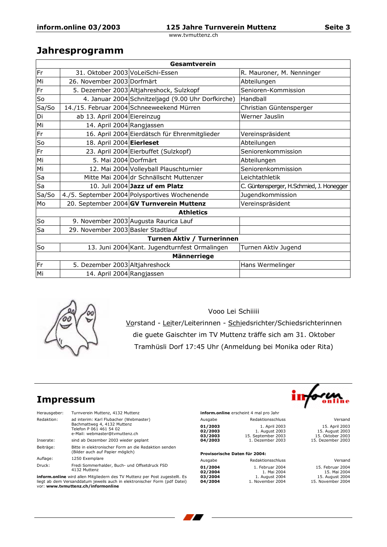# Jahresprogramm

|                            | Gesamtverein                       |                                                    |                                          |  |  |
|----------------------------|------------------------------------|----------------------------------------------------|------------------------------------------|--|--|
| Fr                         | 31. Oktober 2003 VoLeiSchi-Essen   |                                                    | R. Mauroner, M. Nenninger                |  |  |
| Mi                         | 26. November 2003 Dorfmärt         |                                                    | Abteilungen                              |  |  |
| Fr                         |                                    | 5. Dezember 2003 Altjahreshock, Sulzkopf           | Senioren-Kommission                      |  |  |
| So                         |                                    | 4. Januar 2004 Schnitzeljagd (9.00 Uhr Dorfkirche) | Handball                                 |  |  |
| Sa/So                      |                                    | 14./15. Februar 2004 Schneeweekend Mürren          | Christian Güntensperger                  |  |  |
| Di                         | ab 13. April 2004 Eiereinzug       |                                                    | Werner Jauslin                           |  |  |
| Mi                         | 14. April 2004 Rangjassen          |                                                    |                                          |  |  |
| Fr                         |                                    | 16. April 2004 Eierdätsch für Ehrenmitglieder      | Vereinspräsident                         |  |  |
| So                         | 18. April 2004 Eierleset           |                                                    | Abteilungen                              |  |  |
| Fr                         |                                    | 23. April 2004 Eierbuffet (Sulzkopf)               | Seniorenkommission                       |  |  |
| Mi                         | 5. Mai 2004 Dorfmärt               |                                                    | Abteilungen                              |  |  |
| Mi                         |                                    | 12. Mai 2004 Volleyball Plauschturnier             | Seniorenkommission                       |  |  |
| Sa                         |                                    | Mitte Mai 2004 dr Schnällscht Muttenzer            | Leichtathletik                           |  |  |
| Sa                         |                                    | 10. Juli 2004 Jazz uf em Platz                     | C. Güntensperger, H.Schmied, J. Honegger |  |  |
| Sa/So                      |                                    | 4./5. September 2004 Polysportives Wochenende      | Jugendkommission                         |  |  |
| Mo                         |                                    | 20. September 2004 GV Turnverein Muttenz           | Vereinspräsident                         |  |  |
|                            |                                    | <b>Athletics</b>                                   |                                          |  |  |
| So                         |                                    | 9. November 2003 Augusta Raurica Lauf              |                                          |  |  |
| Sa                         | 29. November 2003 Basler Stadtlauf |                                                    |                                          |  |  |
| Turnen Aktiv / Turnerinnen |                                    |                                                    |                                          |  |  |
| So                         |                                    | 13. Juni 2004 Kant. Jugendturnfest Ormalingen      | Turnen Aktiv Jugend                      |  |  |
|                            |                                    | <b>Männerriege</b>                                 |                                          |  |  |
| Fr                         | 5. Dezember 2003 Altjahreshock     |                                                    | Hans Wermelinger                         |  |  |
| Mi                         | 14. April 2004 Rangjassen          |                                                    |                                          |  |  |



Vooo Lei Schiiiii Vorstand - Leiter/Leiterinnen - Schiedsrichter/Schiedsrichterinnen die guete Gaischter im TV Muttenz träffe sich am 31. Oktober Tramhüsli Dorf 17:45 Uhr (Anmeldung bei Monika oder Rita)

# **Impressum**

| Herausgeber: | Turnverein Muttenz, 4132 Muttenz                                                                                                   |
|--------------|------------------------------------------------------------------------------------------------------------------------------------|
| Redaktion:   | ad interim: Karl Flubacher (Webmaster)<br>Bachmattweg 4, 4132 Muttenz<br>Telefon P 061 461 54 02<br>e-Mail: webmaster@tvmuttenz.ch |
| Inserate:    | sind ab Dezember 2003 wieder geplant                                                                                               |
| Beiträge:    | Bitte in elektronischer Form an die Redaktion senden<br>(Bilder auch auf Papier möglich)                                           |
| Auflage:     | 1250 Exemplare                                                                                                                     |
| Druck:       | Fredi Sommerhalder, Buch- und Offsetdruck FSD<br>4132 Muttenz                                                                      |

inform.online wird allen Mitgliedern des TV Muttenz per Post zugestellt. Es liegt ab dem Versanddatum jeweils auch in elektronischer Form (pdf Datei) vor: www.tvmuttenz.ch/informonline

| inform.online erscheint 4 mal pro Jahr |                    |
|----------------------------------------|--------------------|
| Ausgabe                                | Redaktionsschluss  |
| 01/2003                                | 1. April 2003      |
| 02/2003                                | 1. August 2003     |
| 03/2003                                | 15. September 2003 |
| 04/2003                                | 1. Dezember 2003   |

### Provisorische Daten für 2004:

| Ausgabe | Redaktionsschluss |
|---------|-------------------|
| 01/2004 | 1. Februar 2004   |
| 02/2004 | 1. Mai 2004       |
| 03/2004 | 1. August 2004    |
| 04/2004 | 1. November 2004  |

| ٠<br>П                                      |                            | ł<br>ï<br>٠                             | online                          | ÷<br>٠<br>¥                        |
|---------------------------------------------|----------------------------|-----------------------------------------|---------------------------------|------------------------------------|
| ï<br>ï<br>÷<br>ċ<br>÷<br>$\mathcal{L}$<br>× | v<br>٠<br>٠<br>×<br>٠<br>÷ | ٠<br>٠<br>$\sim 10^{-1}$<br>×<br>ï<br>÷ | t<br>÷<br>v<br>٠<br>÷<br>÷<br>÷ | ٠<br>$\bar{a}$<br>×<br>v<br>۰<br>× |

Versand 15. April 2003 15. April 2003<br>15. August 2003<br>15. Oktober 2003<br>15. Dezember 2003

Versand 15. Februar 2004 15. Februar 2004<br>15. Mai 2004<br>15. August 2004<br>15. November 2004

ir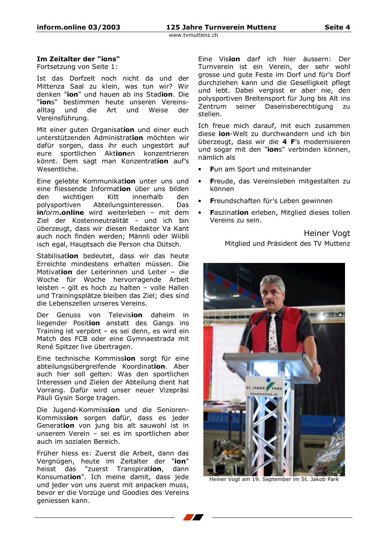# Im Zeitalter der "ions"

Fortsetzung von Seite 1:

Ist das Dorfzelt noch nicht da und der Mittenza Saal zu klein, was tun wir? Wir denken "**jon**" und hauen ab ins Stadion. Die "ions" bestimmen heute unseren Vereinsalltag und die Art und Weise der Vereinsführung.

Mit einer guten Organisation und einer euch unterstützenden Administration möchten wir dafür sorgen, dass ihr euch ungestört auf eure sportlichen Aktionen konzentrieren könnt. Dem sagt man Konzentration auf's Wesentliche.

Eine gelebte Kommunikation unter uns und eine fliessende Information über uns bilden den wichtigen Kitt innerhalb den nolysportiven Abteilungsinteressen. Das. inform.online wird weiterleben - mit dem Ziel der Kostenneutralität - und ich bin überzeugt, dass wir diesen Redaktor Va Kant auch noch finden werden; Männli oder Wiibli isch egal, Hauptsach die Person cha Dütsch.

Stabilisation bedeutet, dass wir das heute Erreichte mindestens erhalten müssen. Die Motivation der Leiterinnen und Leiter - die Woche für Woche hervorragende Arbeit leisten - gilt es hoch zu halten - volle Hallen und Trainingsplätze bleiben das Ziel; dies sind die Lebenszellen unseres Vereins.

Der Genuss von Television daheim in liegender Position anstatt des Gangs ins Training ist verpönt - es sei denn, es wird ein Match des FCB oder eine Gymnaestrada mit René Spitzer live übertragen.

Eine technische Kommission sorgt für eine abteilungsübergreifende Koordination. Aber auch hier soll gelten: Was den sportlichen Interessen und Zielen der Abteilung dient hat Vorrang. Dafür wird unser neuer Vizepräsi Päuli Gysin Sorge tragen.

Die Jugend-Kommission und die Senioren-Kommission sorgen dafür, dass es jeder Generation von jung bis alt sauwohl ist in unserem Verein - sei es im sportlichen aber auch im sozialen Bereich.

Früher hiess es: Zuerst die Arbeit, dann das Vergnügen, heute im Zeitalter der "ion" heisst das "zuerst Transpiration, dann Konsumation". Ich meine damit, dass jede und jeder von uns zuerst mit anpacken muss, bevor er die Vorzüge und Goodies des Vereins geniessen kann.

Eine Vision darf ich hier äussern: Der Turnverein ist ein Verein, der sehr wohl grosse und gute Feste im Dorf und für's Dorf durchziehen kann und die Geselligkeit pflegt und lebt. Dabei vergisst er aber nie, den polysportiven Breitensport für Jung bis Alt ins Zentrum seiner Daseinsberechtigung  $711$ stellen.

Ich freue mich darauf, mit euch zusammen diese **jon**-Welt zu durchwandern und ich bin überzeugt, dass wir die 4 F's modernisieren und sogar mit den "ions" verbinden können, nämlich als

- Fun am Sport und miteinander
- Freude, das Vereinsleben mitgestalten zu  $\bullet$ können
- Freundschaften für's Leben gewinnen
- Faszination erleben, Mitglied dieses tollen Vereins zu sein.

Heiner Vogt Mitglied und Präsident des TV Muttenz



Heiner Vogt am 19. September im St. Jakob Park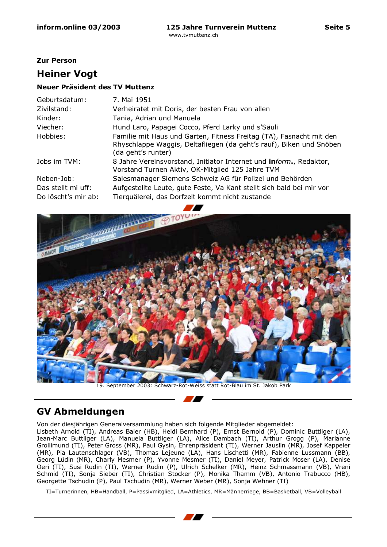Seite 5

www.tvmuttenz.ch

### **Zur Person**

# **Heiner Vogt**

# Neuer Präsident des TV Muttenz

| Geburtsdatum:       | 7. Mai 1951                                                                                                                                                      |
|---------------------|------------------------------------------------------------------------------------------------------------------------------------------------------------------|
| Zivilstand:         | Verheiratet mit Doris, der besten Frau von allen                                                                                                                 |
| Kinder:             | Tania, Adrian und Manuela                                                                                                                                        |
| Viecher:            | Hund Laro, Papagei Cocco, Pferd Larky und s'Säuli                                                                                                                |
| Hobbies:            | Familie mit Haus und Garten, Fitness Freitag (TA), Fasnacht mit den<br>Rhyschlappe Waggis, Deltafliegen (da geht's rauf), Biken und Snöben<br>(da geht's runter) |
| Jobs im TVM:        | 8 Jahre Vereinsvorstand, Initiator Internet und inform., Redaktor,<br>Vorstand Turnen Aktiv, OK-Mitglied 125 Jahre TVM                                           |
| Neben-Job:          | Salesmanager Siemens Schweiz AG für Polizei und Behörden                                                                                                         |
| Das stellt mi uff:  | Aufgestellte Leute, gute Feste, Va Kant stellt sich bald bei mir vor                                                                                             |
| Do löscht's mir ab: | Tierquälerei, das Dorfzelt kommt nicht zustande                                                                                                                  |
|                     |                                                                                                                                                                  |



# **GV Abmeldungen**

Von der diesjährigen Generalversammlung haben sich folgende Mitglieder abgemeldet:

Lisbeth Arnold (TI), Andreas Baier (HB), Heidi Bernhard (P), Ernst Bernold (P), Dominic Buttliger (LA), Jean-Marc Buttliger (LA), Manuela Buttliger (LA), Alice Dambach (TI), Arthur Grogg (P), Marianne<br>Grollimund (TI), Peter Gross (MR), Paul Gysin, Ehrenpräsident (TI), Werner Jauslin (MR), Josef Kappeler (MR), Pia Lautenschlager (VB), Thomas Lejeune (LA), Hans Lischetti (MR), Fabienne Lussmann (BB), Georg Lüdin (MR), Charly Mesmer (P), Yvonne Mesmer (TI), Daniel Meyer, Patrick Moser (LA), Denise Oeri (TI), Susi Rudin (TI), Werner Rudin (P), Ulrich Schelker (MR), Heinz Schmassmann (VB), Vreni<br>Schmid (TI), Sonja Sieber (TI), Christian Stocker (P), Monika Thamm (VB), Antonio Trabucco (HB), Georgette Tschudin (P), Paul Tschudin (MR), Werner Weber (MR), Sonia Wehner (TI)

- 7

TI=Turnerinnen, HB=Handball, P=Passivmitglied, LA=Athletics, MR=Männerriege, BB=Basketball, VB=Volleyball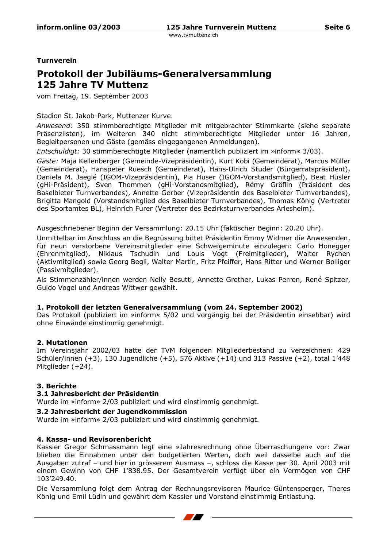**Turnverein** 

# Protokoll der Jubiläums-Generalversammlung **125 Jahre TV Muttenz**

vom Freitag, 19. September 2003

Stadion St. Jakob-Park, Muttenzer Kurve.

Anwesend: 350 stimmberechtigte Mitglieder mit mitgebrachter Stimmkarte (siehe separate Präsenzlisten), im Weiteren 340 nicht stimmberechtigte Mitglieder unter 16 Jahren, Begleitpersonen und Gäste (gemäss eingegangenen Anmeldungen).

Entschuldigt: 30 stimmberechtigte Mitglieder (namentlich publiziert im »inform« 3/03).

Gäste: Maja Kellenberger (Gemeinde-Vizepräsidentin), Kurt Kobi (Gemeinderat), Marcus Müller (Gemeinderat), Hanspeter Ruesch (Gemeinderat), Hans-Ulrich Studer (Bürgerratspräsident), Daniela M. Jaeglé (IGOM-Vizepräsidentin), Pia Huser (IGOM-Vorstandsmitglied), Beat Hüsler (gHi-Präsident), Sven Thommen (gHi-Vorstandsmitglied), Rémy Gröflin (Präsident des Baselbieter Turnverbandes), Annette Gerber (Vizepräsidentin des Baselbieter Turnverbandes), Brigitta Mangold (Vorstandsmitglied des Baselbieter Turnverbandes), Thomas König (Vertreter des Sportamtes BL), Heinrich Furer (Vertreter des Bezirksturnverbandes Arlesheim).

Ausgeschriebener Beginn der Versammlung: 20.15 Uhr (faktischer Beginn: 20.20 Uhr).

Unmittelbar im Anschluss an die Begrüssung bittet Präsidentin Emmy Widmer die Anwesenden, für neun verstorbene Vereinsmitglieder eine Schweigeminute einzulegen: Carlo Honegger (Ehrenmitglied), Niklaus Tschudin und Louis Vogt (Freimitglieder), Walter Rychen (Aktivmitglied) sowie Georg Begli, Walter Martin, Fritz Pfeiffer, Hans Ritter und Werner Bolliger (Passivmitalieder).

Als Stimmenzähler/innen werden Nelly Besutti, Annette Grether, Lukas Perren, René Spitzer, Guido Vogel und Andreas Wittwer gewählt.

### 1. Protokoll der letzten Generalversammlung (vom 24. September 2002)

Das Protokoll (publiziert im »inform« 5/02 und vorgängig bei der Präsidentin einsehbar) wird ohne Einwände einstimmig genehmigt.

### 2. Mutationen

Im Vereinsjahr 2002/03 hatte der TVM folgenden Mitgliederbestand zu verzeichnen: 429 Schüler/innen (+3), 130 Jugendliche (+5), 576 Aktive (+14) und 313 Passive (+2), total 1'448 Mitalieder (+24).

# 3. Berichte

### 3.1 Jahresbericht der Präsidentin

Wurde im »inform« 2/03 publiziert und wird einstimmig genehmigt.

### 3.2 Jahresbericht der Jugendkommission

Wurde im »inform« 2/03 publiziert und wird einstimmig genehmigt.

### 4. Kassa- und Revisorenbericht

Kassier Gregor Schmassmann legt eine »Jahresrechnung ohne Überraschungen« vor: Zwar blieben die Einnahmen unter den budgetierten Werten, doch weil dasselbe auch auf die Ausgaben zutraf - und hier in grösserem Ausmass -, schloss die Kasse per 30. April 2003 mit einem Gewinn von CHF 1'838.95. Der Gesamtverein verfügt über ein Vermögen von CHF 103'249.40.

Die Versammlung folgt dem Antrag der Rechnungsrevisoren Maurice Güntensperger, Theres König und Emil Lüdin und gewährt dem Kassier und Vorstand einstimmig Entlastung.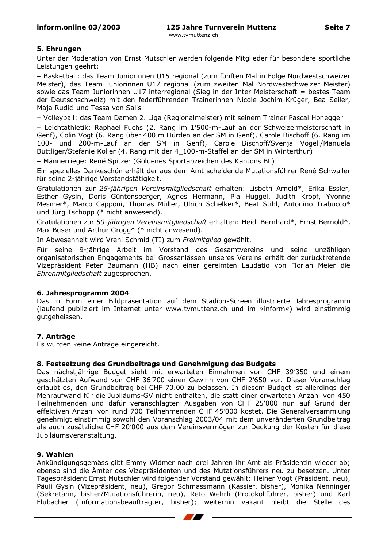# 5. Ehrungen

Unter der Moderation von Ernst Mutschler werden folgende Mitglieder für besondere sportliche Leistungen geehrt:

- Basketball: das Team Juniorinnen U15 regional (zum fünften Mal in Folge Nordwestschweizer Meister), das Team Juniorinnen U17 regional (zum zweiten Mal Nordwestschweizer Meister) sowie das Team Juniorinnen U17 interregional (Sieg in der Inter-Meisterschaft = bestes Team der Deutschschweiz) mit den federführenden Trainerinnen Nicole Jochim-Krüger, Bea Seiler, Maja Rudić und Tessa von Salis

- Volleyball: das Team Damen 2, Liga (Regionalmeister) mit seinem Trainer Pascal Honegger

- Leichtathletik: Raphael Fuchs (2. Rang im 1'500-m-Lauf an der Schweizermeisterschaft in Genf), Colin Vogt (6. Rang über 400 m Hürden an der SM in Genf), Carole Bischoff (6. Rang im 100- und 200-m-Lauf an der SM in Genf), Carole Bischoff/Svenja Vögeli/Manuela Buttliger/Stefanie Koller (4. Rang mit der 4 100-m-Staffel an der SM in Winterthur)

- Männerriege: René Spitzer (Goldenes Sportabzeichen des Kantons BL)

Ein spezielles Dankeschön erhält der aus dem Amt scheidende Mutationsführer René Schwaller für seine 2-jährige Vorstandstätigkeit.

Gratulationen zur 25-jährigen Vereinsmitgliedschaft erhalten: Lisbeth Arnold\*, Erika Essler, Esther Gysin, Doris Güntensperger, Agnes Hermann, Pia Huggel, Judith Kropf, Yvonne Mesmer\*, Marco Capponi, Thomas Müller, Ulrich Schelker\*, Beat Stihl, Antonino Trabucco\* und Jürg Tschopp (\* nicht anwesend).

Gratulationen zur 50-jährigen Vereinsmitgliedschaft erhalten: Heidi Bernhard\*, Ernst Bernold\*, Max Buser und Arthur Grogg\* (\* nicht anwesend).

In Abwesenheit wird Vreni Schmid (TI) zum Freimitalied gewählt.

Für seine 9-jährige Arbeit im Vorstand des Gesamtvereins und seine unzähligen organisatorischen Engagements bei Grossanlässen unseres Vereins erhält der zurücktretende Vizepräsident Peter Baumann (HB) nach einer gereimten Laudatio von Florian Meier die Ehrenmitgliedschaft zugesprochen.

### 6. Jahresprogramm 2004

Das in Form einer Bildpräsentation auf dem Stadion-Screen illustrierte Jahresprogramm (laufend publiziert im Internet unter www.tvmuttenz.ch und im »inform«) wird einstimmig gutgeheissen.

# 7. Anträge

Es wurden keine Anträge eingereicht.

### 8. Festsetzung des Grundbeitrags und Genehmigung des Budgets

Das nächstjährige Budget sieht mit erwarteten Einnahmen von CHF 39'350 und einem geschätzten Aufwand von CHF 36'700 einen Gewinn von CHF 2'650 vor. Dieser Voranschlag erlaubt es, den Grundbeitrag bei CHF 70.00 zu belassen. In diesem Budget ist allerdings der Mehraufwand für die Jubiläums-GV nicht enthalten, die statt einer erwarteten Anzahl von 450 Teilnehmenden und dafür veranschlagten Ausgaben von CHF 25'000 nun auf Grund der effektiven Anzahl von rund 700 Teilnehmenden CHF 45'000 kostet. Die Generalversammlung genehmigt einstimmig sowohl den Voranschlag 2003/04 mit dem unveränderten Grundbeitrag als auch zusätzliche CHF 20'000 aus dem Vereinsvermögen zur Deckung der Kosten für diese Jubiläumsveranstaltung.

### 9. Wahlen

Ankündigungsgemäss gibt Emmy Widmer nach drei Jahren ihr Amt als Präsidentin wieder ab; ebenso sind die Ämter des Vizepräsidenten und des Mutationsführers neu zu besetzen. Unter Tagespräsident Ernst Mutschler wird folgender Vorstand gewählt: Heiner Vogt (Präsident, neu), Päuli Gysin (Vizepräsident, neu), Gregor Schmassmann (Kassier, bisher), Monika Nenninger (Sekretärin, bisher/Mutationsführerin, neu), Reto Wehrli (Protokollführer, bisher) und Karl Flubacher (Informationsbeauftragter, bisher); weiterhin vakant bleibt die Stelle des

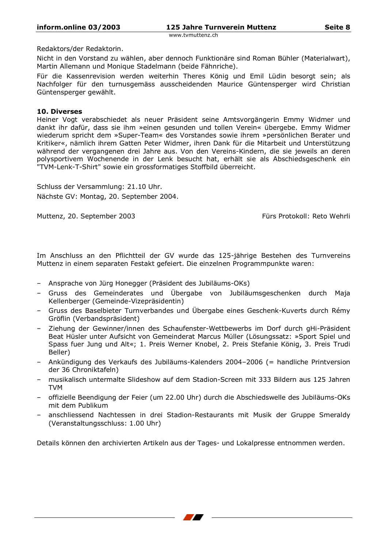### Redaktors/der Redaktorin.

Nicht in den Vorstand zu wählen, aber dennoch Funktionäre sind Roman Bühler (Materialwart), Martin Allemann und Monique Stadelmann (beide Fähnriche).

Für die Kassenrevision werden weiterhin Theres König und Emil Lüdin besorgt sein; als Nachfolger für den turnusgemäss ausscheidenden Maurice Güntensperger wird Christian Güntensperger gewählt.

### **10. Diverses**

Heiner Vogt verabschiedet als neuer Präsident seine Amtsvorgängerin Emmy Widmer und dankt ihr dafür, dass sie ihm »einen gesunden und tollen Verein« übergebe. Emmy Widmer wiederum spricht dem »Super-Team« des Vorstandes sowie ihrem »persönlichen Berater und Kritiker«, nämlich ihrem Gatten Peter Widmer, ihren Dank für die Mitarbeit und Unterstützung während der vergangenen drei Jahre aus. Von den Vereins-Kindern, die sie jeweils an deren polysportivem Wochenende in der Lenk besucht hat, erhält sie als Abschiedsgeschenk ein "TVM-Lenk-T-Shirt" sowie ein grossformatiges Stoffbild überreicht.

Schluss der Versammlung: 21.10 Uhr. Nächste GV: Montag, 20. September 2004.

Muttenz, 20. September 2003

Fürs Protokoll: Reto Wehrli

Im Anschluss an den Pflichtteil der GV wurde das 125-jährige Bestehen des Turnvereins Muttenz in einem separaten Festakt gefeiert. Die einzelnen Programmpunkte waren:

- Ansprache von Jürg Honegger (Präsident des Jubiläums-OKs)
- Gruss des Gemeinderates und Übergabe von Jubiläumsgeschenken durch Maja Kellenberger (Gemeinde-Vizepräsidentin)
- Gruss des Baselbieter Turnverbandes und Übergabe eines Geschenk-Kuverts durch Rémy Gröflin (Verbandspräsident)
- Ziehung der Gewinner/innen des Schaufenster-Wettbewerbs im Dorf durch gHi-Präsident Beat Hüsler unter Aufsicht von Gemeinderat Marcus Müller (Lösungssatz: »Sport Spiel und Spass fuer Jung und Alt«; 1. Preis Werner Knobel, 2. Preis Stefanie König, 3. Preis Trudi Beller)
- Ankündigung des Verkaufs des Jubiläums-Kalenders 2004-2006 (= handliche Printversion der 36 Chroniktafeln)
- musikalisch untermalte Slideshow auf dem Stadion-Screen mit 333 Bildern aus 125 Jahren **TVM**
- offizielle Beendigung der Feier (um 22.00 Uhr) durch die Abschiedswelle des Jubiläums-OKs mit dem Publikum
- anschliessend Nachtessen in drei Stadion-Restaurants mit Musik der Gruppe Smeraldy (Veranstaltungsschluss: 1.00 Uhr)

Details können den archivierten Artikeln aus der Tages- und Lokalpresse entnommen werden.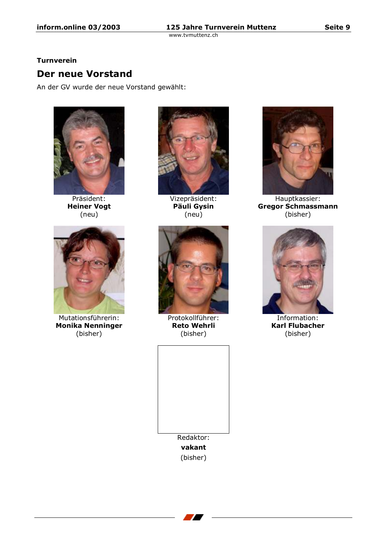# **Turnverein**

# **Der neue Vorstand**

An der GV wurde der neue Vorstand gewählt:



Präsident: **Heiner Vogt**  $(new)$ 



Mutationsführerin: **Monika Nenninger** (bisher)



Vizepräsident: Päuli Gysin  $(new)$ 



Protokollführer: **Reto Wehrli** (bisher)





Hauptkassier: **Gregor Schmassmann** (bisher)



Information: **Karl Flubacher** (bisher)

Seite 9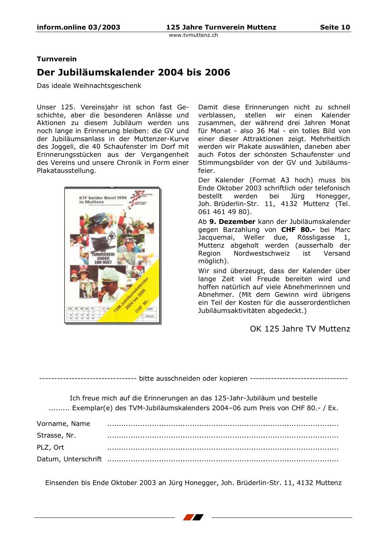# **Turnverein**

# Der Jubiläumskalender 2004 bis 2006

Das ideale Weihnachtsgeschenk

Unser 125. Vereinsjahr ist schon fast Geschichte, aber die besonderen Anlässe und Aktionen zu diesem Jubiläum werden uns noch lange in Erinnerung bleiben: die GV und der Jubiläumsanlass in der Muttenzer-Kurve des Joggeli, die 40 Schaufenster im Dorf mit Erinnerungsstücken aus der Vergangenheit des Vereins und unsere Chronik in Form einer Plakatausstellung.



Damit diese Erinnerungen nicht zu schnell verblassen, stellen wir einen Kalender zusammen, der während drei Jahren Monat für Monat - also 36 Mal - ein tolles Bild von einer dieser Attraktionen zeigt. Mehrheitlich werden wir Plakate auswählen, daneben aber auch Fotos der schönsten Schaufenster und Stimmungsbilder von der GV und Jubiläumsfeier.

Der Kalender (Format A3 hoch) muss bis Ende Oktober 2003 schriftlich oder telefonisch bestellt werden bei Jürg Honegger, Joh. Brüderlin-Str. 11, 4132 Muttenz (Tel. 061 461 49 80).

Ab 9. Dezember kann der Jubiläumskalender gegen Barzahlung von CHF 80.- bei Marc Jacquemai, Weller due, Rössligasse 1, Muttenz abgeholt werden (ausserhalb der Region Nordwestschweiz ist Versand möglich).

Wir sind überzeugt, dass der Kalender über lange Zeit viel Freude bereiten wird und hoffen natürlich auf viele Abnehmerinnen und Abnehmer. (Mit dem Gewinn wird übrigens ein Teil der Kosten für die ausserordentlichen Jubiläumsaktivitäten abgedeckt.)

# OK 125 Jahre TV Muttenz

----------------------------- bitte ausschneiden oder kopieren ---------------------------------

Ich freue mich auf die Erinnerungen an das 125-Jahr-Jubiläum und bestelle ......... Exemplar(e) des TVM-Jubiläumskalenders 2004-06 zum Preis von CHF 80.- / Ex.

| Vorname, Name |  |
|---------------|--|
| Strasse, Nr.  |  |
| PLZ, Ort      |  |
|               |  |

Einsenden bis Ende Oktober 2003 an Jürg Honegger, Joh. Brüderlin-Str. 11, 4132 Muttenz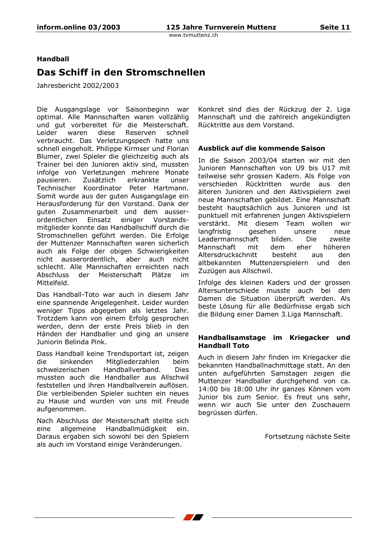# **Handball**

# Das Schiff in den Stromschnellen

Jahresbericht 2002/2003

Die Ausgangslage vor Saisonbeginn war optimal. Alle Mannschaften waren vollzählig und qut vorbereitet für die Meisterschaft. Leider waren diese Reserven schnell verbraucht. Das Verletzungspech hatte uns schnell eingeholt. Philippe Kirmser und Florian Blumer, zwei Spieler die gleichzeitig auch als Trainer bei den Junioren aktiv sind, mussten infolge von Verletzungen mehrere Monate pausieren. Zusätzlich erkrankte unser Technischer Koordinator Peter Hartmann. Somit wurde aus der guten Ausgangslage ein Herausforderung für den Vorstand. Dank der quten Zusammenarbeit und dem aussereiniger ordentlichen Einsatz Vorstandsmitglieder konnte das Handballschiff durch die Stromschnellen geführt werden. Die Erfolge der Muttenzer Mannschaften waren sicherlich auch als Folge der obigen Schwierigkeiten nicht ausserordentlich, aber auch nicht schlecht. Alle Mannschaften erreichten nach Abschluss der Meisterschaft Plätze  $im$ Mittelfeld.

Das Handball-Toto war auch in diesem Jahr eine spannende Angelegenheit. Leider wurden weniger Tipps abgegeben als letztes Jahr. Trotzdem kann von einem Erfolg gesprochen werden, denn der erste Preis blieb in den Händen der Handballer und ging an unsere Juniorin Belinda Pink.

Dass Handball keine Trendsportart ist, zeigen **Aih** sinkenden Mitaliederzahlen beim schweizerischen Handballverband. **Dies** mussten auch die Handballer aus Allschwil feststellen und ihren Handballverein auflösen. Die verbleibenden Spieler suchten ein neues zu Hause und wurden von uns mit Freude aufgenommen.

Nach Abschluss der Meisterschaft stellte sich eine allgemeine Handballmüdigkeit ein. Daraus ergaben sich sowohl bei den Spielern als auch im Vorstand einige Veränderungen.

Konkret sind dies der Rückzug der 2. Liga Mannschaft und die zahlreich angekündigten Rücktritte aus dem Vorstand.

### Ausblick auf die kommende Saison

In die Saison 2003/04 starten wir mit den Junioren Mannschaften von U9 bis U17 mit teilweise sehr grossen Kadern. Als Folge von verschieden Rücktritten wurde aus den älteren Junioren und den Aktivspielern zwei neue Mannschaften gebildet. Eine Mannschaft besteht hauptsächlich aus Junioren und ist punktuell mit erfahrenen jungen Aktivspielern verstärkt. Mit diesem Team wollen wir langfristig qesehen unsere neue Leadermannschaft bilden. Die zweite Mannschaft mit dem eher höheren Altersdruckschnitt besteht aus den altbekannten Muttenzerspielern und den Zuzügen aus Allschwil.

Infolge des kleinen Kaders und der grossen Altersunterschiede musste auch bei den Damen die Situation überprüft werden. Als beste Lösung für alle Bedürfnisse ergab sich die Bildung einer Damen 3. Liga Mannschaft.

### Handballsamstage im Kriegacker und **Handball Toto**

Auch in diesem Jahr finden im Kriegacker die bekannten Handballnachmittage statt. An den unten aufgeführten Samstagen zeigen die Muttenzer Handballer durchgehend von ca. 14:00 bis 18:00 Uhr ihr ganzes Können vom Junior bis zum Senior. Es freut uns sehr, wenn wir auch Sie unter den Zuschauern begrüssen dürfen.

Fortsetzung nächste Seite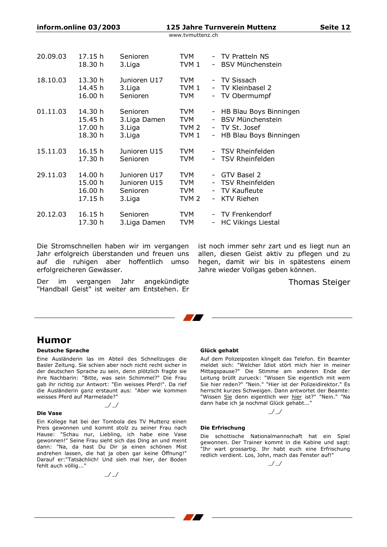| $informationine$ 03/2003 |         |               | 125 Jahre Turnverein Muttenz |  |                           |  |
|--------------------------|---------|---------------|------------------------------|--|---------------------------|--|
|                          |         |               | www.tvmuttenz.ch             |  |                           |  |
|                          |         |               |                              |  |                           |  |
| 20.09.03                 | 17.15 h | Senioren      | TVM                          |  | - TV Pratteln NS          |  |
|                          | 18.30 h | 3. Liga       | TVM <sub>1</sub>             |  | - BSV Münchenstein        |  |
| 18.10.03                 | 13.30 h | Junioren U17  | TVM                          |  | - TV Sissach              |  |
|                          | 14.45 h | 3. Liga       | TVM 1                        |  | - TV Kleinbasel 2         |  |
|                          | 16.00 h | Senioren      | <b>TVM</b>                   |  | - TV Obermumpf            |  |
| 01.11.03                 | 14.30 h | Senioren      | TVM                          |  | - HB Blau Boys Binningen  |  |
|                          | 15.45 h | 3. Liga Damen | TVM                          |  | <b>BSV Münchenstein</b>   |  |
|                          | 17.00 h | 3. Liga       | TVM 2                        |  | - TV St. Josef            |  |
|                          | 18.30 h | 3. Liga       | TVM <sub>1</sub>             |  | - HB Blau Boys Binningen  |  |
| 15.11.03                 | 16.15h  | Junioren U15  | TVM                          |  | - TSV Rheinfelden         |  |
|                          | 17.30 h | Senioren      | <b>TVM</b>                   |  | - TSV Rheinfelden         |  |
| 29.11.03                 | 14.00 h | Junioren U17  | <b>TVM</b>                   |  | GTV Basel 2               |  |
|                          | 15.00 h | Junioren U15  | TVM                          |  | - TSV Rheinfelden         |  |
|                          | 16.00 h | Senioren      | <b>TVM</b>                   |  | - TV Kaufleute            |  |
|                          | 17.15 h | 3. Liga       | TVM <sub>2</sub>             |  | - KTV Riehen              |  |
| 20.12.03                 | 16.15h  | Senioren      | TVM                          |  | - TV Frenkendorf          |  |
|                          | 17.30 h | 3. Liga Damen | TVM                          |  | <b>HC Vikings Liestal</b> |  |

Die Stromschnellen haben wir im vergangen Jahr erfolgreich überstanden und freuen uns auf die ruhigen aber hoffentlich umso erfolgreicheren Gewässer.

 $\frac{1}{2}$ 

Der vergangen Jahr im angekündigte "Handball Geist" ist weiter am Entstehen. Er

ist noch immer sehr zart und es liegt nun an allen, diesen Geist aktiv zu pflegen und zu hegen, damit wir bis in spätestens einem Jahre wieder Vollgas geben können.

**Thomas Steiger** 

Seite 12

# **Humor**

#### **Deutsche Sprache**

Eine Ausländerin las im Abteil des Schnellzuges die Basler Zeitung. Sie schien aber noch nicht recht sicher in der deutschen Sprache zu sein, denn plötzlich fragte sie ihre Nachbarin: "Bitte, was sein Schimmel?" Die Frau gab ihr richtig zur Antwort: "Ein weisses Pferd!". Da rief die Ausländerin ganz erstaunt aus: "Aber wie kommen weisses Pferd auf Marmelade?

 $\mathcal{S}$ 

#### **Die Vase**

Ein Kollege hat bei der Tombola des TV Muttenz einen Preis gewonnen und kommt stolz zu seiner Frau nach Hause: "Schau nur, Liebling, ich habe eine Vase gewonnen!" Seine Frau sieht sich das Ding an und meint dann: "Na, da hast Du Dir ja einen schönen Mist andrehen lassen, die hat ja oben gar keine Öffnung!" Darauf er: "Tatsächlich! Und sieh mal hier, der Boden fehlt auch völlig..."

 $\frac{1}{2}$ 

#### Glück gehabt

Auf dem Polizeiposten klingelt das Telefon. Ein Beamter meldet sich: "Welcher Idiot stört mich hier in meiner Mittagspause?" Die Stimme am anderen Ende der Leitung brüllt zurueck: "Wissen Sie eigentlich mit wem<br>Sie hier reden?" "Nein." "Hier ist der Polizeidirektor." Es herrscht kurzes Schweigen. Dann antwortet der Beamte: "Wissen Sie denn eigentlich wer hier ist?" "Nein." "Na dann habe ich ja nochmal Glück gehabt..."

# Die Erfrischung

Die schottische Nationalmannschaft hat ein Spiel gewonnen. Der Trainer kommt in die Kabine und sagt: Ihr wart grossartig. Ihr habt euch eine Erfrischung redlich verdient. Los, John, mach das Fenster auf!"

 $\sqrt{\phantom{a}}$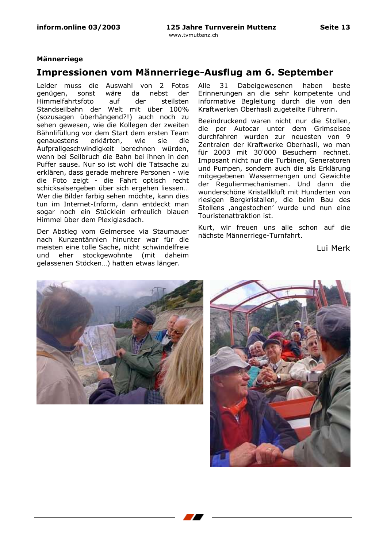### **Männerriege**

# Impressionen vom Männerriege-Ausflug am 6. September

Leider muss die Auswahl von 2 Fotos genügen, sonst wäre da nebst der Himmelfahrtsfoto auf der steilsten Standseilbahn der Welt mit über 100% (sozusagen überhängend?!) auch noch zu sehen gewesen, wie die Kollegen der zweiten Bähnlifüllung vor dem Start dem ersten Team *denauestens* erklärten. wie sie hi Aufprallgeschwindigkeit berechnen würden, wenn bei Seilbruch die Bahn bei ihnen in den Puffer sause. Nur so ist wohl die Tatsache zu erklären, dass gerade mehrere Personen - wie die Foto zeigt - die Fahrt optisch recht schicksalsergeben über sich ergehen liessen... Wer die Bilder farbig sehen möchte, kann dies tun im Internet-Inform, dann entdeckt man sogar noch ein Stücklein erfreulich blauen Himmel über dem Plexiglasdach.

Der Abstieg vom Gelmersee via Staumauer nach Kunzentännlen hinunter war für die meisten eine tolle Sache, nicht schwindelfreie und eher stockgewohnte (mit daheim gelassenen Stöcken...) hatten etwas länger.

Alle  $31$ Dabeigewesenen haben beste Erinnerungen an die sehr kompetente und informative Begleitung durch die von den Kraftwerken Oberhasli zugeteilte Führerin.

Beeindruckend waren nicht nur die Stollen, die per Autocar unter dem Grimselsee durchfahren wurden zur neuesten von 9 Zentralen der Kraftwerke Oberhasli, wo man für 2003 mit 30'000 Besuchern rechnet. Imposant nicht nur die Turbinen, Generatoren und Pumpen, sondern auch die als Erklärung mitgegebenen Wassermengen und Gewichte der Reguliermechanismen. Und dann die wunderschöne Kristallkluft mit Hunderten von riesigen Bergkristallen, die beim Bau des Stollens ,angestochen' wurde und nun eine Touristenattraktion ist.

Kurt, wir freuen uns alle schon auf die nächste Männerriege-Turnfahrt.

Lui Merk



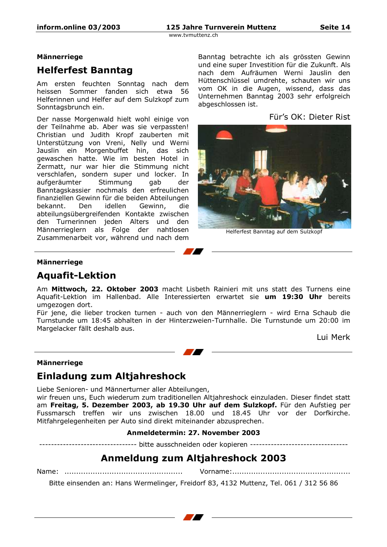### **Männerriege**

# **Helferfest Banntag**

Am ersten feuchten Sonntag nach dem heissen Sommer fanden sich etwa 56 Helferinnen und Helfer auf dem Sulzkopf zum Sonntagsbrunch ein.

Der nasse Morgenwald hielt wohl einige von der Teilnahme ab. Aber was sie verpassten! Christian und Judith Kropf zauberten mit Unterstützung von Vreni, Nelly und Werni Jauslin ein Morgenbuffet hin, das sich gewaschen hatte. Wie im besten Hotel in Zermatt, nur war hier die Stimmung nicht verschlafen, sondern super und locker. In aufgeräumter Stimmung aab der Banntagskassier nochmals den erfreulichen finanziellen Gewinn für die beiden Abteilungen bekannt. Den idellen Gewinn, die abteilungsübergreifenden Kontakte zwischen den Turnerinnen jeden Alters und den Männerrieglern als Folge der nahtlosen Zusammenarbeit vor, während und nach dem

Banntag betrachte ich als grössten Gewinn und eine super Investition für die Zukunft. Als nach dem Aufräumen Werni Jauslin den Hüttenschlüssel umdrehte, schauten wir uns vom OK in die Augen, wissend, dass das Unternehmen Banntag 2003 sehr erfolgreich abgeschlossen ist.

Für's OK: Dieter Rist



Helferfest Banntag auf dem Sulzkopf

### **Männerriege**

# **Aquafit-Lektion**

Am Mittwoch, 22. Oktober 2003 macht Lisbeth Rainieri mit uns statt des Turnens eine Aquafit-Lektion im Hallenbad. Alle Interessierten erwartet sie um 19:30 Uhr bereits umgezogen dort.

Für jene, die lieber trocken turnen - auch von den Männerrieglern - wird Erna Schaub die Turnstunde um 18:45 abhalten in der Hinterzweien-Turnhalle. Die Turnstunde um 20:00 im Margelacker fällt deshalb aus.

Lui Merk

### **Männerriege**

# Einladung zum Altjahreshock

Liebe Senioren- und Männerturner aller Abteilungen,

wir freuen uns, Euch wiederum zum traditionellen Altjahreshock einzuladen. Dieser findet statt am Freitag, 5. Dezember 2003, ab 19.30 Uhr auf dem Sulzkopf. Für den Aufstieg per Fussmarsch treffen wir uns zwischen 18.00 und 18.45 Uhr vor der Dorfkirche. Mitfahrgelegenheiten per Auto sind direkt miteinander abzusprechen.

# Anmeldetermin: 27. November 2003

------------------- bitte ausschneiden oder kopieren --------------------------------

# **Anmeldung zum Altjahreshock 2003**

Bitte einsenden an: Hans Wermelinger, Freidorf 83, 4132 Muttenz, Tel. 061 / 312 56 86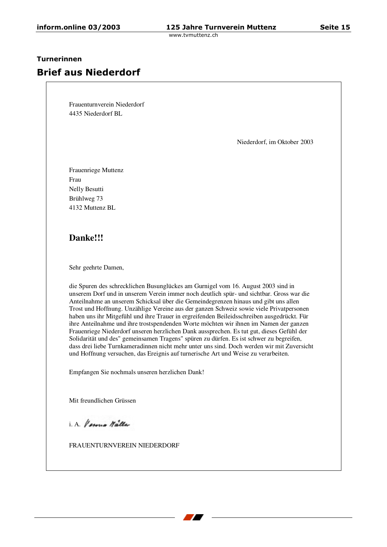### Turnerinnen

# **Brief aus Niederdorf**

Frauenturnverein Niederdorf 4435 Niederdorf BL

Niederdorf, im Oktober 2003

Frauenriege Muttenz Frau Nelly Besutti Brühlweg 73 4132 Muttenz BL

# **Danke!!!**

Sehr geehrte Damen,

die Spuren des schrecklichen Busunglückes am Gurnigel vom 16. August 2003 sind in unserem Dorf und in unserem Verein immer noch deutlich spür- und sichtbar. Gross war die Anteilnahme an unserem Schicksal über die Gemeindegrenzen hinaus und gibt uns allen Trost und Hoffnung. Unzählige Vereine aus der ganzen Schweiz sowie viele Privatpersonen haben uns ihr Mitgefühl und ihre Trauer in ergreifenden Beileidsschreiben ausgedrückt. Für ihre Anteilnahme und ihre trostspendenden Worte möchten wir ihnen im Namen der ganzen Frauenriege Niederdorf unseren herzlichen Dank aussprechen. Es tut gut, dieses Gefühl der Solidarität und des" gemeinsamen Tragens" spüren zu dürfen. Es ist schwer zu begreifen, dass drei liebe Turnkameradinnen nicht mehr unter uns sind. Doch werden wir mit Zuversicht und Hoffnung versuchen, das Ereignis auf turnerische Art und Weise zu verarbeiten.

Empfangen Sie nochmals unseren herzlichen Dank!

Mit freundlichen Grüssen

i A Vermo Walter

FRAUENTURNVEREIN NIEDERDORF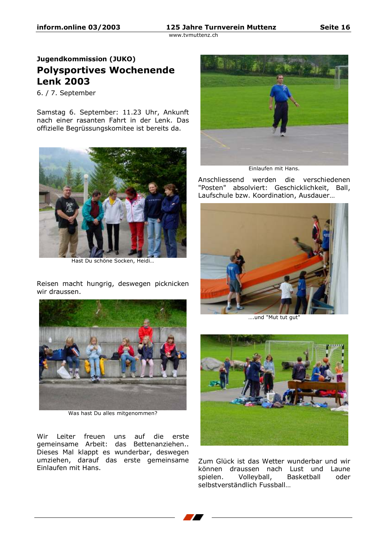# Jugendkommission (JUKO) **Polysportives Wochenende Lenk 2003**

6. / 7. September

Samstag 6. September: 11.23 Uhr, Ankunft nach einer rasanten Fahrt in der Lenk. Das offizielle Begrüssungskomitee ist bereits da.



Hast Du schöne Socken, Heidi...

Reisen macht hungrig, deswegen picknicken wir draussen.



Was hast Du alles mitgenommen?

Wir Leiter freuen uns auf die erste gemeinsame Arbeit: das Bettenanziehen.. Dieses Mal klappt es wunderbar, deswegen umziehen, darauf das erste gemeinsame Einlaufen mit Hans.



Einlaufen mit Hans.

Anschliessend werden die verschiedenen "Posten" absolviert: Geschicklichkeit, Ball, Laufschule bzw. Koordination, Ausdauer...



....und "Mut tut gut"



Zum Glück ist das Wetter wunderbar und wir können draussen nach Lust und Laune Basketball spielen. Volleyball, oder selbstverständlich Fussball...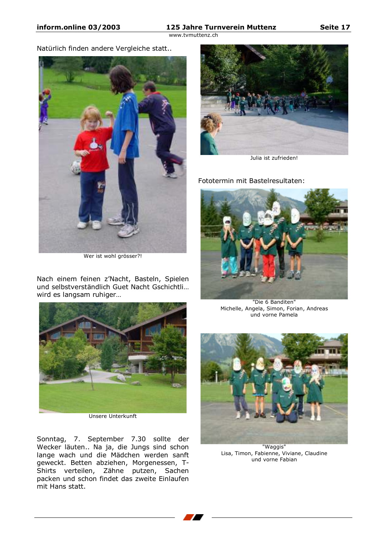## 125 Jahre Turnverein Muttenz

www.tymuttenz.ch

Natürlich finden andere Vergleiche statt..



Wer ist wohl grösser?!

Nach einem feinen z'Nacht, Basteln, Spielen und selbstverständlich Guet Nacht Gschichtli... wird es langsam ruhiger...



Unsere Unterkunft

Sonntag, 7. September 7.30 sollte der Wecker läuten.. Na ja, die Jungs sind schon lange wach und die Mädchen werden sanft geweckt. Betten abziehen, Morgenessen, T-Shirts verteilen, Zähne putzen, Sachen<br>packen und schon findet das zweite Einlaufen mit Hans statt.



Julia ist zufrieden!

Fototermin mit Bastelresultaten:



"Die 6 Banditen" Michelle, Angela, Simon, Forian, Andreas und vorne Pamela



"Waggis" Lisa, Timon, Fabienne, Viviane, Claudine und vorne Fabian

Seite 17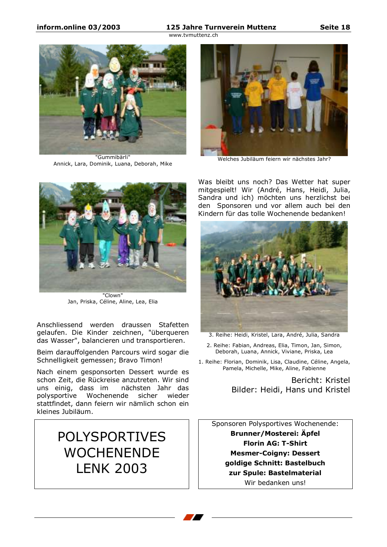### 125 Jahre Turnverein Muttenz

www.tvmuttenz.ch



"Gummibärli" Annick, Lara, Dominik, Luana, Deborah, Mike



Welches Jubiläum feiern wir nächstes Jahr?



"Clown" Jan, Priska, Céline, Aline, Lea, Elia

Anschliessend werden draussen Stafetten gelaufen. Die Kinder zeichnen, "überqueren das Wasser", balancieren und transportieren.

Beim darauffolgenden Parcours wird sogar die Schnelligkeit gemessen; Bravo Timon!

Nach einem gesponsorten Dessert wurde es schon Zeit, die Rückreise anzutreten. Wir sind nächsten Jahr das uns einig, dass im Wochenende sicher wieder polysportive stattfindet, dann feiern wir nämlich schon ein kleines Jubiläum.

# **POLYSPORTIVES WOCHENENDE LENK 2003**

Was bleibt uns noch? Das Wetter hat super mitgespielt! Wir (André, Hans, Heidi, Julia, Sandra und ich) möchten uns herzlichst bei den Sponsoren und vor allem auch bei den Kindern für das tolle Wochenende bedanken!



3. Reihe: Heidi, Kristel, Lara, André, Julia, Sandra

2. Reihe: Fabian, Andreas, Elia, Timon, Jan, Simon, Deborah, Luana, Annick, Viviane, Priska, Lea

1. Reihe: Florian, Dominik, Lisa, Claudine, Céline, Angela, Pamela, Michelle, Mike, Aline, Fabienne

> Bericht: Kristel Bilder: Heidi, Hans und Kristel

Sponsoren Polysportives Wochenende: **Brunner/Mosterei: Äpfel Florin AG: T-Shirt Mesmer-Coigny: Dessert** goldige Schnitt: Bastelbuch zur Spule: Bastelmaterial Wir bedanken uns!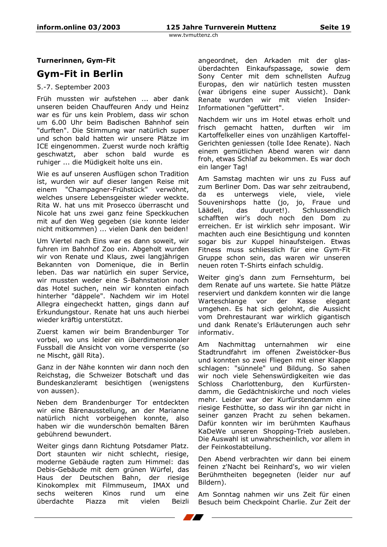Turnerinnen, Gym-Fit

# **Gym-Fit in Berlin**

# 5.-7. September 2003

Früh mussten wir aufstehen ... aber dank unseren beiden Chauffeuren Andy und Heinz war es für uns kein Problem, dass wir schon um 6.00 Uhr beim Badischen Bahnhof sein "durften". Die Stimmung war natürlich super und schon bald hatten wir unsere Plätze im ICE eingenommen. Zuerst wurde noch kräftig geschwatzt, aber schon bald wurde es ruhiger ... die Müdigkeit holte uns ein.

Wie es auf unseren Ausflügen schon Tradition ist, wurden wir auf dieser langen Reise mit einem "Champagner-Frühstück" verwöhnt, welches unsere Lebensgeister wieder weckte. Rita W. hat uns mit Prosecco überrascht und Nicole hat uns zwei ganz feine Speckkuchen mit auf den Weg gegeben (sie konnte leider nicht mitkommen) ... vielen Dank den beiden!

Um Viertel nach Eins war es dann soweit, wir fuhren im Bahnhof Zoo ein. Abgeholt wurden wir von Renate und Klaus, zwei langjährigen Bekannten von Domenique, die in Berlin leben. Das war natürlich ein super Service, wir mussten weder eine S-Bahnstation noch das Hotel suchen, nein wir konnten einfach hinterher "däppele". Nachdem wir im Hotel Allegra eingecheckt hatten, gings dann auf Erkundungstour. Renate hat uns auch hierbei wieder kräftig unterstützt.

Zuerst kamen wir beim Brandenburger Tor vorbei, wo uns leider ein überdimensionaler Fussball die Ansicht von vorne versperrte (so ne Mischt, gäll Rita).

Ganz in der Nähe konnten wir dann noch den Reichstag, die Schweizer Botschaft und das Bundeskanzleramt besichtigen (wenigstens von aussen).

Neben dem Brandenburger Tor entdeckten wir eine Bärenausstellung, an der Marianne natürlich nicht vorbeigehen konnte, also haben wir die wunderschön bemalten Bären gebührend bewundert.

Weiter gings dann Richtung Potsdamer Platz. Dort staunten wir nicht schlecht, riesige, moderne Gebäude ragten zum Himmel: das Debis-Gebäude mit dem grünen Würfel, das Haus der Deutschen Bahn, der riesige Kinokomplex mit Filmmuseum, IMAX und Kinos rund sechs weiteren  $um$ eine überdachte Piazza mit vielen Beizli angeordnet, den Arkaden mit der glasüberdachten Einkaufspassage, sowie dem Sony Center mit dem schnellsten Aufzug Europas, den wir natürlich testen mussten (war übrigens eine super Aussicht). Dank Renate wurden wir mit vielen Insider-Informationen "gefüttert".

Nachdem wir uns im Hotel etwas erholt und frisch gemacht hatten, durften wir im Kartoffelkeller eines von unzähligen Kartoffel-Gerichten geniessen (tolle Idee Renate). Nach einem gemütlichen Abend waren wir dann froh, etwas Schlaf zu bekommen. Es war doch ein langer Tag!

Am Samstag machten wir uns zu Fuss auf zum Berliner Dom. Das war sehr zeitraubend, da es unterwegs viele, viele, viele Souvenirshops hatte (jo, jo, Fraue und Schlussendlich Läädeli, das duuret!). schafften wir's doch noch den Dom zu erreichen. Er ist wirklich sehr imposant. Wir machten auch eine Besichtigung und konnten sogar bis zur Kuppel hinaufsteigen. Etwas Fitness muss schliesslich für eine Gym-Fit Gruppe schon sein, das waren wir unseren neuen roten T-Shirts einfach schuldig.

Weiter ging's dann zum Fernsehturm, bei dem Renate auf uns wartete. Sie hatte Plätze reserviert und dankdem konnten wir die lange Warteschlange vor der Kasse elegant umgehen. Es hat sich gelohnt, die Aussicht vom Drehrestaurant war wirklich gigantisch und dank Renate's Erläuterungen auch sehr informativ.

Am Nachmittag unternahmen wir eine Stadtrundfahrt im offenen Zweistöcker-Bus und konnten so zwei Fliegen mit einer Klappe schlagen: "sünnele" und Bildung. So sahen wir noch viele Sehenswürdigkeiten wie das Charlottenburg, den Kurfürsten-Schloss damm, die Gedächtniskirche und noch vieles mehr. Leider war der Kurfürstendamm eine riesige Festhütte, so dass wir ihn gar nicht in seiner ganzen Pracht zu sehen bekamen. Dafür konnten wir im berühmten Kaufhaus KaDeWe unseren Shopping-Trieb ausleben. Die Auswahl ist unwahrscheinlich, vor allem in der Feinkostabteilung.

Den Abend verbrachten wir dann bei einem feinen z'Nacht bei Reinhard's, wo wir vielen Berühmtheiten begegneten (leider nur auf Bildern).

Am Sonntag nahmen wir uns Zeit für einen Besuch beim Checkpoint Charlie. Zur Zeit der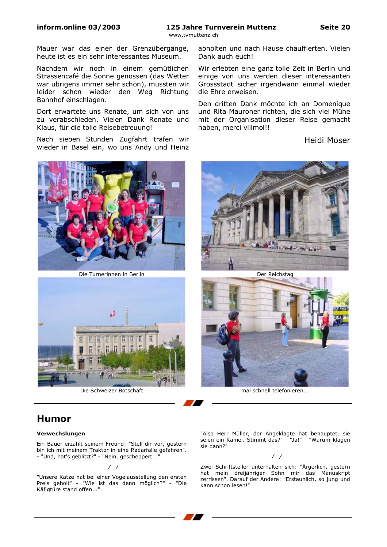Mauer war das einer der Grenzübergänge, heute ist es ein sehr interessantes Museum.

Nachdem wir noch in einem gemütlichen Strassencafé die Sonne genossen (das Wetter war übrigens immer sehr schön), mussten wir leider schon wieder den Weg Richtung Bahnhof einschlagen.

Dort erwartete uns Renate, um sich von uns zu verabschieden. Vielen Dank Renate und Klaus, für die tolle Reisebetreuung!

Nach sieben Stunden Zugfahrt trafen wir wieder in Basel ein, wo uns Andy und Heinz



Die Turnerinnen in Berlin



Die Schweizer Botschaft

abholten und nach Hause chauffierten. Vielen Dank auch euch!

Wir erlebten eine ganz tolle Zeit in Berlin und einige von uns werden dieser interessanten Grossstadt sicher irgendwann einmal wieder die Ehre erweisen.

Den dritten Dank möchte ich an Domenique und Rita Mauroner richten, die sich viel Mühe mit der Organisation dieser Reise gemacht haben, merci viilmol!!

# Heidi Moser



Der Reichstag



mal schnell telefonieren...

# **Humor**

#### Verwechslungen

Ein Bauer erzählt seinem Freund: "Stell dir vor, gestern bin ich mit meinem Traktor in eine Radarfalle gefahren". - "Und, hat's geblitzt?" - "Nein, gescheppert..."

#### $\prime$

"Unsere Katze hat bei einer Vogelausstellung den ersten Preis geholt" - "Wie ist das denn möglich?" - "Die Käfigtüre stand offen...".

"Also Herr Müller, der Angeklagte hat behauptet, sie seien ein Kamel. Stimmt das?" - "Ja!" - "Warum klagen sie dann?"

#### $\mathcal{L}$

Zwei Schriftsteller unterhalten sich: "Ärgerlich, gestern hat mein dreijähriger Sohn mir das Manuskript zerrissen". Darauf der Andere: "Erstaunlich, so jung und kann schon lesen!"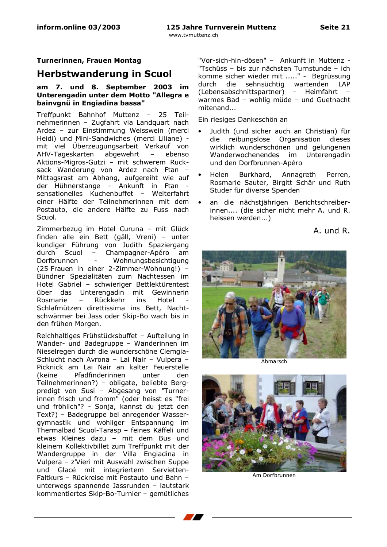# **Turnerinnen, Frauen Montag**

# **Herbstwanderung in Scuol**

### am 7. und 8. September 2003 im Unterengadin unter dem Motto "Allegra e bainvgnü in Engiadina bassa"

Treffpunkt Bahnhof Muttenz - 25 Teilnehmerinnen - Zugfahrt via Landquart nach Ardez - zur Einstimmung Weisswein (merci Heidi) und Mini-Sandwiches (merci Liliane) mit viel Überzeugungsarbeit Verkauf von abgewehrt AHV-Tageskarten ebenso  $-$ Aktions-Migros-Gutzi - mit schwerem Rucksack Wanderung von Ardez nach Ftan -Mittagsrast am Abhang, aufgereiht wie auf der Hühnerstange - Ankunft in Ftan sensationelles Kuchenbuffet - Weiterfahrt einer Hälfte der Teilnehmerinnen mit dem Postauto, die andere Hälfte zu Fuss nach Scuol.

Zimmerbezug im Hotel Curuna - mit Glück finden alle ein Bett (gäll, Vreni) - unter kundiger Führung von Judith Spaziergang durch Scuol - Champagner-Apéro am Dorfbrunnen  $\sim$ Wohnungsbesichtigung (25 Frauen in einer 2-Zimmer-Wohnung!) -Bündner Spezialitäten zum Nachtessen im Hotel Gabriel - schwieriger Bettlektürentest über das Unterengadin mit Gewinnerin Rosmarie Rückkehr ins Hotel  $\sim$ Schlafmützen direttissima ins Bett, Nachtschwärmer bei Jass oder Skip-Bo wach bis in den frühen Morgen.

Reichhaltiges Frühstücksbuffet - Aufteilung in Wander- und Badegruppe - Wanderinnen im Nieselregen durch die wunderschöne Clemgia-Schlucht nach Avrona - Lai Nair - Vulpera -Picknick am Lai Nair an kalter Feuerstelle Pfadfinderinnen (keine unter den. Teilnehmerinnen?) - obligate, beliebte Bergpredigt von Susi - Abgesang von "Turnerinnen frisch und fromm" (oder heisst es "frei und fröhlich"? - Sonja, kannst du jetzt den Text?) - Badegruppe bei anregender Wassergymnastik und wohliger Entspannung im Thermalbad Scuol-Tarasp - feines Käffeli und etwas Kleines dazu - mit dem Bus und kleinem Kollektivbillet zum Treffpunkt mit der Wandergruppe in der Villa Engiadina in Vulpera - z'Vieri mit Auswahl zwischen Suppe und Glacé mit integriertem Servietten-Faltkurs - Rückreise mit Postauto und Bahn unterwegs spannende Jassrunden - lautstark kommentiertes Skip-Bo-Turnier - gemütliches "Vor-sich-hin-dösen" - Ankunft in Muttenz -"Tschüss - bis zur nächsten Turnstunde - ich komme sicher wieder mit ....." - Begrüssung durch die sehnsüchtig wartenden LAP (Lebensabschnittspartner) - Heimfahrt warmes Bad - wohlig müde - und Guetnacht mitenand...

Ein riesiges Dankeschön an

- Judith (und sicher auch an Christian) für reibungslose Organisation dieses die wirklich wunderschönen und gelungenen Wanderwochenendes im Unterengadin und den Dorfbrunnen-Apéro
- Helen Burkhard, Annagreth Perren, Rosmarie Sauter, Birgitt Schär und Ruth Studer für diverse Spenden
- an die nächstjährigen Berichtschreiberinnen.... (die sicher nicht mehr A. und R. heissen werden...)

A. und R.



Ahmarsch



Am Dorfbrunnen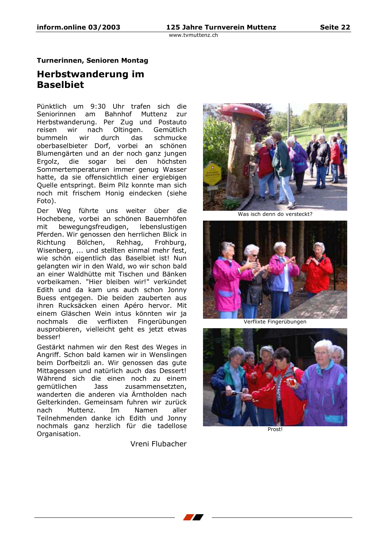Seite 22

www.tvmuttenz.ch

### **Turnerinnen, Senioren Montag**

# Herbstwanderung im **Baselbiet**

Pünktlich um 9:30 Uhr trafen sich die Seniorinnen am Bahnhof Muttenz zur Herbstwanderung. Per Zug und Postauto wir nach Oltingen. Gemütlich reisen bummeln wir durch das schmucke oberbaselbieter Dorf, vorbei an schönen Blumengärten und an der noch ganz jungen die sogar bei den höchsten Ergolz, Sommertemperaturen immer genug Wasser hatte, da sie offensichtlich einer ergiebigen Quelle entspringt. Beim Pilz konnte man sich noch mit frischem Honig eindecken (siehe Foto).

Der Weg führte uns weiter über die Hochebene, vorbei an schönen Bauernhöfen bewegungsfreudigen, lebenslustigen mit Pferden. Wir genossen den herrlichen Blick in Richtung Bölchen, Rehhag, Frohburg, Wisenberg, ... und stellten einmal mehr fest. wie schön eigentlich das Baselbiet ist! Nun gelangten wir in den Wald, wo wir schon bald an einer Waldhütte mit Tischen und Bänken vorbeikamen. "Hier bleiben wir!" verkündet Edith und da kam uns auch schon Jonny Buess entgegen. Die beiden zauberten aus ihren Rucksäcken einen Apéro hervor. Mit einem Gläschen Wein intus könnten wir ja nochmals die verflixten Fingerübungen ausprobieren, vielleicht geht es jetzt etwas besser!

Gestärkt nahmen wir den Rest des Weges in Angriff. Schon bald kamen wir in Wenslingen beim Dorfbeitzli an. Wir genossen das gute Mittagessen und natürlich auch das Dessert! Während sich die einen noch zu einem aemütlichen **Jass** zusammensetzten. wanderten die anderen via Ärntholden nach Gelterkinden. Gemeinsam fuhren wir zurück nach Muttenz. **Im** Namen aller Teilnehmenden danke ich Edith und Jonny nochmals ganz herzlich für die tadellose Organisation.

Vreni Flubacher



Was isch denn do versteckt?



Verflixte Fingerübungen



Prostl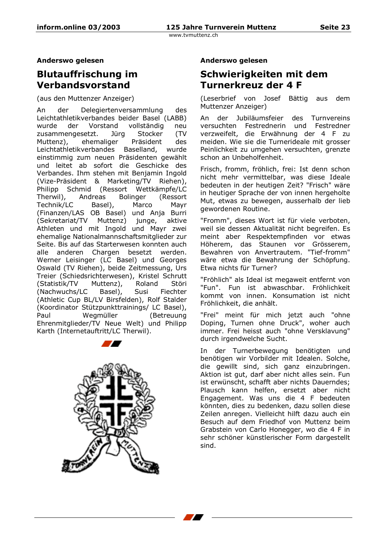Anderswo gelesen

# **Blutauffrischung im** Verbandsvorstand

(aus den Muttenzer Anzeiger)

Delegiertenversammlung An des der Leichtathletikverbandes beider Basel (LABB) wurde der Vorstand vollständig neu zusammengesetzt. Jüra Stocker (TV Präsident ehemaliger des Muttenz), Leichtathletikverbandes Baselland, wurde einstimmig zum neuen Präsidenten gewählt und leitet ab sofort die Geschicke des Verbandes. Ihm stehen mit Benjamin Ingold (Vize-Präsident & Marketing/TV Riehen), Philipp Schmid (Ressort Wettkämpfe/LC Therwil). Andreas Bolinger (Ressort) Technik/LC Basel), Marco Mavr (Finanzen/LAS OB Basel) und Anja Burri junge, (Sekretariat/TV Muttenz) aktive Athleten und mit Ingold und Mayr zwei ehemalige Nationalmannschaftsmitglieder zur Seite. Bis auf das Starterwesen konnten auch alle anderen Chargen besetzt werden. Werner Leisinger (LC Basel) und Georges Oswald (TV Riehen), beide Zeitmessung, Urs Treier (Schiedsrichterwesen), Kristel Schrutt Consumer Muttenz),<br>(Nachwuchs/LC Basel),<br>(Athletic C Roland Störi Susi Fiechter (Athletic Cup BL/LV Birsfelden), Rolf Stalder (Koordinator Stützpunkttrainings/ LC Basel), Wegmüller Paul (Betreuung Ehrenmitglieder/TV Neue Welt) und Philipp Karth (Internetauftritt/LC Therwil).



# Anderswo gelesen

# Schwierigkeiten mit dem **Turnerkreuz der 4 F**

(Leserbrief von Josef Bättig aus dem Muttenzer Anzeiger)

An der Jubiläumsfeier des Turnvereins versuchten Festrednerin und Festredner verzweifelt, die Erwähnung der 4 F zu meiden. Wie sie die Turnerideale mit grosser Peinlichkeit zu umgehen versuchten, grenzte schon an Unbeholfenheit.

Frisch, fromm, fröhlich, frei: Ist denn schon nicht mehr vermittelbar, was diese Ideale bedeuten in der heutigen Zeit? "Frisch" wäre in heutiger Sprache der von innen hergeholte Mut, etwas zu bewegen, ausserhalb der lieb gewordenen Routine.

"Fromm", dieses Wort ist für viele verboten, weil sie dessen Aktualität nicht begreifen. Es meint aber Respektempfinden vor etwas Höherem, das Staunen vor Grösserem, Bewahren von Anvertrautem. "Tief-fromm" wäre etwa die Bewahrung der Schöpfung. Etwa nichts für Turner?

"Fröhlich" als Ideal ist megaweit entfernt von "Fun". Fun ist abwaschbar. Fröhlichkeit kommt von innen. Konsumation ist nicht Fröhlichkeit, die anhält.

"Frei" meint für mich jetzt auch "ohne Doping, Turnen ohne Druck", woher auch immer. Frei heisst auch "ohne Versklavung" durch irgendwelche Sucht.

In der Turnerbewegung benötigten und benötigen wir Vorbilder mit Idealen. Solche, die gewillt sind, sich ganz einzubringen. Aktion ist gut, darf aber nicht alles sein. Fun ist erwünscht, schafft aber nichts Dauerndes; Plausch kann helfen, ersetzt aber nicht<br>Engagement. Was uns die 4 F bedeuten könnten, dies zu bedenken, dazu sollen diese Zeilen anregen. Vielleicht hilft dazu auch ein Besuch auf dem Friedhof von Muttenz beim Grabstein von Carlo Honegger, wo die 4 F in sehr schöner künstlerischer Form dargestellt sind